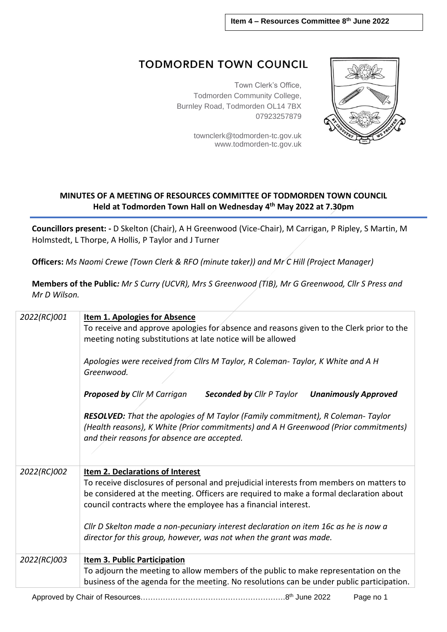## **TODMORDEN TOWN COUNCIL**

Town Clerk's Office, Todmorden Community College, Burnley Road, Todmorden OL14 7BX 07923257879

> [townclerk@todmorden-tc.gov.uk](mailto:townclerk@todmorden-tc.gov.uk) www.todmorden-tc.gov.uk



## **MINUTES OF A MEETING OF RESOURCES COMMITTEE OF TODMORDEN TOWN COUNCIL Held at Todmorden Town Hall on Wednesday 4 th May 2022 at 7.30pm**

**Councillors present: -** D Skelton (Chair), A H Greenwood (Vice-Chair), M Carrigan, P Ripley, S Martin, M Holmstedt, L Thorpe, A Hollis, P Taylor and J Turner

**Officers:** *Ms Naomi Crewe (Town Clerk & RFO (minute taker)) and Mr C Hill (Project Manager)* 

**Members of the Public***: Mr S Curry (UCVR), Mrs S Greenwood (TIB), Mr G Greenwood, Cllr S Press and Mr D Wilson.* 

| 2022(RC)001 | <b>Item 1. Apologies for Absence</b><br>To receive and approve apologies for absence and reasons given to the Clerk prior to the<br>meeting noting substitutions at late notice will be allowed<br>Apologies were received from Cllrs M Taylor, R Coleman-Taylor, K White and A H<br>Greenwood.                                                                                                                                                      |  |  |
|-------------|------------------------------------------------------------------------------------------------------------------------------------------------------------------------------------------------------------------------------------------------------------------------------------------------------------------------------------------------------------------------------------------------------------------------------------------------------|--|--|
|             | <b>Proposed by Cllr M Carrigan</b><br><b>Unanimously Approved</b><br><b>Seconded by Cllr P Taylor</b><br>RESOLVED: That the apologies of M Taylor (Family commitment), R Coleman-Taylor<br>(Health reasons), K White (Prior commitments) and A H Greenwood (Prior commitments)<br>and their reasons for absence are accepted.                                                                                                                        |  |  |
| 2022(RC)002 | Item 2. Declarations of Interest<br>To receive disclosures of personal and prejudicial interests from members on matters to<br>be considered at the meeting. Officers are required to make a formal declaration about<br>council contracts where the employee has a financial interest.<br>Cllr D Skelton made a non-pecuniary interest declaration on item 16c as he is now a<br>director for this group, however, was not when the grant was made. |  |  |
| 2022(RC)003 | <b>Item 3. Public Participation</b><br>To adjourn the meeting to allow members of the public to make representation on the<br>business of the agenda for the meeting. No resolutions can be under public participation.                                                                                                                                                                                                                              |  |  |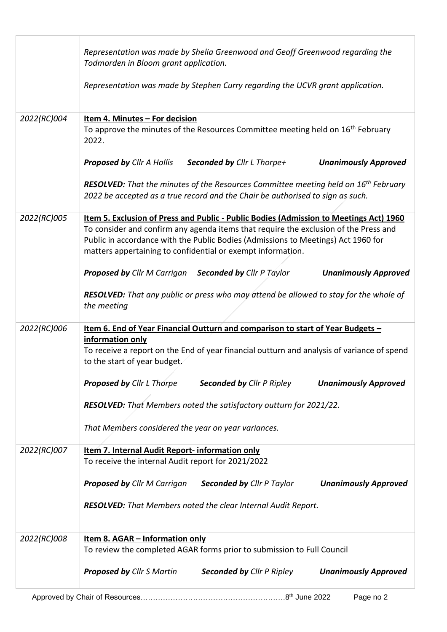|             | Representation was made by Shelia Greenwood and Geoff Greenwood regarding the<br>Todmorden in Bloom grant application.                                                                                                                                                                                                             |
|-------------|------------------------------------------------------------------------------------------------------------------------------------------------------------------------------------------------------------------------------------------------------------------------------------------------------------------------------------|
|             | Representation was made by Stephen Curry regarding the UCVR grant application.                                                                                                                                                                                                                                                     |
| 2022(RC)004 | Item 4. Minutes - For decision<br>To approve the minutes of the Resources Committee meeting held on 16 <sup>th</sup> February<br>2022.                                                                                                                                                                                             |
|             | <b>Proposed by Cllr A Hollis</b><br><b>Seconded by Cllr L Thorpe+</b><br><b>Unanimously Approved</b>                                                                                                                                                                                                                               |
|             | RESOLVED: That the minutes of the Resources Committee meeting held on 16 <sup>th</sup> February<br>2022 be accepted as a true record and the Chair be authorised to sign as such.                                                                                                                                                  |
| 2022(RC)005 | Item 5. Exclusion of Press and Public - Public Bodies (Admission to Meetings Act) 1960<br>To consider and confirm any agenda items that require the exclusion of the Press and<br>Public in accordance with the Public Bodies (Admissions to Meetings) Act 1960 for<br>matters appertaining to confidential or exempt information. |
|             | <b>Proposed by Cllr M Carrigan</b> Seconded by Cllr P Taylor<br><b>Unanimously Approved</b>                                                                                                                                                                                                                                        |
|             | <b>RESOLVED:</b> That any public or press who may attend be allowed to stay for the whole of<br>the meeting                                                                                                                                                                                                                        |
| 2022(RC)006 | Item 6. End of Year Financial Outturn and comparison to start of Year Budgets -<br>information only<br>To receive a report on the End of year financial outturn and analysis of variance of spend<br>to the start of year budget.                                                                                                  |
|             | <b>Proposed by Cllr L Thorpe</b><br><b>Seconded by Cllr P Ripley</b><br><b>Unanimously Approved</b>                                                                                                                                                                                                                                |
|             | RESOLVED: That Members noted the satisfactory outturn for 2021/22.                                                                                                                                                                                                                                                                 |
|             | That Members considered the year on year variances.                                                                                                                                                                                                                                                                                |
| 2022(RC)007 | Item 7. Internal Audit Report- information only<br>To receive the internal Audit report for 2021/2022                                                                                                                                                                                                                              |
|             | <b>Proposed by Cllr M Carrigan</b><br><b>Seconded by Cllr P Taylor</b><br><b>Unanimously Approved</b>                                                                                                                                                                                                                              |
|             | RESOLVED: That Members noted the clear Internal Audit Report.                                                                                                                                                                                                                                                                      |
| 2022(RC)008 | <u>Item 8. AGAR - Information only</u><br>To review the completed AGAR forms prior to submission to Full Council                                                                                                                                                                                                                   |
|             | <b>Proposed by Cllr S Martin</b><br><b>Seconded by Cllr P Ripley</b><br><b>Unanimously Approved</b>                                                                                                                                                                                                                                |
|             | Page no 2                                                                                                                                                                                                                                                                                                                          |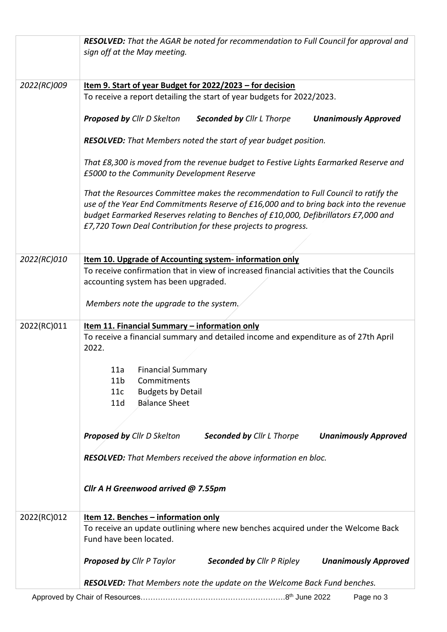|             | <b>RESOLVED:</b> That the AGAR be noted for recommendation to Full Council for approval and                                                                                                                                                                                                                                          |
|-------------|--------------------------------------------------------------------------------------------------------------------------------------------------------------------------------------------------------------------------------------------------------------------------------------------------------------------------------------|
|             | sign off at the May meeting.                                                                                                                                                                                                                                                                                                         |
|             |                                                                                                                                                                                                                                                                                                                                      |
|             |                                                                                                                                                                                                                                                                                                                                      |
| 2022(RC)009 | Item 9. Start of year Budget for 2022/2023 - for decision                                                                                                                                                                                                                                                                            |
|             | To receive a report detailing the start of year budgets for 2022/2023.                                                                                                                                                                                                                                                               |
|             | <b>Proposed by Cllr D Skelton</b><br><b>Seconded by Cllr L Thorpe</b><br><b>Unanimously Approved</b>                                                                                                                                                                                                                                 |
|             | RESOLVED: That Members noted the start of year budget position.                                                                                                                                                                                                                                                                      |
|             | That £8,300 is moved from the revenue budget to Festive Lights Earmarked Reserve and                                                                                                                                                                                                                                                 |
|             | £5000 to the Community Development Reserve                                                                                                                                                                                                                                                                                           |
|             | That the Resources Committee makes the recommendation to Full Council to ratify the<br>use of the Year End Commitments Reserve of £16,000 and to bring back into the revenue<br>budget Earmarked Reserves relating to Benches of £10,000, Defibrillators £7,000 and<br>£7,720 Town Deal Contribution for these projects to progress. |
|             |                                                                                                                                                                                                                                                                                                                                      |
|             |                                                                                                                                                                                                                                                                                                                                      |
| 2022(RC)010 | Item 10. Upgrade of Accounting system- information only                                                                                                                                                                                                                                                                              |
|             | To receive confirmation that in view of increased financial activities that the Councils                                                                                                                                                                                                                                             |
|             | accounting system has been upgraded.                                                                                                                                                                                                                                                                                                 |
|             | Members note the upgrade to the system.                                                                                                                                                                                                                                                                                              |
| 2022(RC)011 | Item 11. Financial Summary - information only                                                                                                                                                                                                                                                                                        |
|             | To receive a financial summary and detailed income and expenditure as of 27th April<br>2022.                                                                                                                                                                                                                                         |
|             |                                                                                                                                                                                                                                                                                                                                      |
|             | <b>Financial Summary</b><br>11a                                                                                                                                                                                                                                                                                                      |
|             | 11 <sub>b</sub><br>Commitments                                                                                                                                                                                                                                                                                                       |
|             | <b>Budgets by Detail</b><br>11c                                                                                                                                                                                                                                                                                                      |
|             | <b>Balance Sheet</b><br>11d                                                                                                                                                                                                                                                                                                          |
|             |                                                                                                                                                                                                                                                                                                                                      |
|             | <b>Proposed by Cllr D Skelton</b><br><b>Seconded by Cllr L Thorpe</b><br><b>Unanimously Approved</b>                                                                                                                                                                                                                                 |
|             | RESOLVED: That Members received the above information en bloc.                                                                                                                                                                                                                                                                       |
|             | Cllr A H Greenwood arrived @ 7.55pm                                                                                                                                                                                                                                                                                                  |
|             |                                                                                                                                                                                                                                                                                                                                      |
| 2022(RC)012 | <u>Item 12. Benches - information only</u>                                                                                                                                                                                                                                                                                           |
|             | To receive an update outlining where new benches acquired under the Welcome Back<br>Fund have been located.                                                                                                                                                                                                                          |
|             | <b>Proposed by Cllr P Taylor</b><br><b>Seconded by Cllr P Ripley Unanimously Approved</b>                                                                                                                                                                                                                                            |
|             |                                                                                                                                                                                                                                                                                                                                      |
|             | RESOLVED: That Members note the update on the Welcome Back Fund benches.                                                                                                                                                                                                                                                             |
|             | Page no 3                                                                                                                                                                                                                                                                                                                            |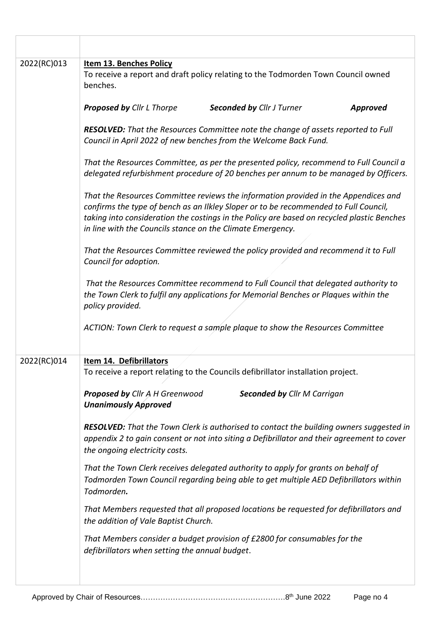| 2022(RC)013 | <b>Item 13. Benches Policy</b><br>To receive a report and draft policy relating to the Todmorden Town Council owned<br>benches.                                                                                                                                                                                                         |  |  |  |
|-------------|-----------------------------------------------------------------------------------------------------------------------------------------------------------------------------------------------------------------------------------------------------------------------------------------------------------------------------------------|--|--|--|
|             | <b>Proposed by Cllr L Thorpe</b><br><b>Seconded by Cllr J Turner</b><br><b>Approved</b>                                                                                                                                                                                                                                                 |  |  |  |
|             | <b>RESOLVED:</b> That the Resources Committee note the change of assets reported to Full<br>Council in April 2022 of new benches from the Welcome Back Fund.                                                                                                                                                                            |  |  |  |
|             | That the Resources Committee, as per the presented policy, recommend to Full Council a<br>delegated refurbishment procedure of 20 benches per annum to be managed by Officers.                                                                                                                                                          |  |  |  |
|             | That the Resources Committee reviews the information provided in the Appendices and<br>confirms the type of bench as an Ilkley Sloper or to be recommended to Full Council,<br>taking into consideration the costings in the Policy are based on recycled plastic Benches<br>in line with the Councils stance on the Climate Emergency. |  |  |  |
|             | That the Resources Committee reviewed the policy provided and recommend it to Full<br>Council for adoption.                                                                                                                                                                                                                             |  |  |  |
|             | That the Resources Committee recommend to Full Council that delegated authority to<br>the Town Clerk to fulfil any applications for Memorial Benches or Plaques within the<br>policy provided.                                                                                                                                          |  |  |  |
|             | ACTION: Town Clerk to request a sample plaque to show the Resources Committee                                                                                                                                                                                                                                                           |  |  |  |
| 2022(RC)014 | Item 14. Defibrillators<br>To receive a report relating to the Councils defibrillator installation project.                                                                                                                                                                                                                             |  |  |  |
|             | <b>Proposed by Cllr A H Greenwood</b><br><b>Seconded by Cllr M Carrigan</b><br><b>Unanimously Approved</b>                                                                                                                                                                                                                              |  |  |  |
|             | <b>RESOLVED:</b> That the Town Clerk is authorised to contact the building owners suggested in<br>appendix 2 to gain consent or not into siting a Defibrillator and their agreement to cover<br>the ongoing electricity costs.                                                                                                          |  |  |  |
|             | That the Town Clerk receives delegated authority to apply for grants on behalf of<br>Todmorden Town Council regarding being able to get multiple AED Defibrillators within<br>Todmorden.                                                                                                                                                |  |  |  |
|             | That Members requested that all proposed locations be requested for defibrillators and<br>the addition of Vale Baptist Church.                                                                                                                                                                                                          |  |  |  |
|             | That Members consider a budget provision of £2800 for consumables for the<br>defibrillators when setting the annual budget.                                                                                                                                                                                                             |  |  |  |
|             |                                                                                                                                                                                                                                                                                                                                         |  |  |  |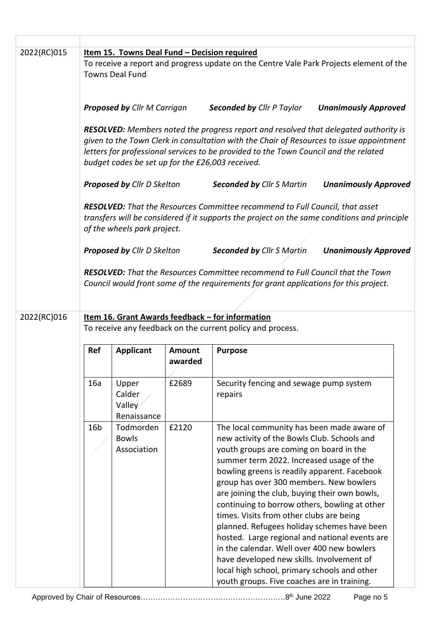| 2022(RC)015 |                                                                                                                                                                                                                                                                                                                                     |                                          |                   |                                                                                                                                                                                                                                                                                                                                                                                                                                                                                                                                                                                                                                                                                                                      |                             |  |  |
|-------------|-------------------------------------------------------------------------------------------------------------------------------------------------------------------------------------------------------------------------------------------------------------------------------------------------------------------------------------|------------------------------------------|-------------------|----------------------------------------------------------------------------------------------------------------------------------------------------------------------------------------------------------------------------------------------------------------------------------------------------------------------------------------------------------------------------------------------------------------------------------------------------------------------------------------------------------------------------------------------------------------------------------------------------------------------------------------------------------------------------------------------------------------------|-----------------------------|--|--|
|             | Item 15. Towns Deal Fund - Decision required<br>To receive a report and progress update on the Centre Vale Park Projects element of the<br><b>Towns Deal Fund</b>                                                                                                                                                                   |                                          |                   |                                                                                                                                                                                                                                                                                                                                                                                                                                                                                                                                                                                                                                                                                                                      |                             |  |  |
|             |                                                                                                                                                                                                                                                                                                                                     | <b>Proposed by Cllr M Carrigan</b>       |                   | <b>Seconded by Cllr P Taylor</b>                                                                                                                                                                                                                                                                                                                                                                                                                                                                                                                                                                                                                                                                                     | <b>Unanimously Approved</b> |  |  |
|             | <b>RESOLVED:</b> Members noted the progress report and resolved that delegated authority is<br>given to the Town Clerk in consultation with the Chair of Resources to issue appointment<br>letters for professional services to be provided to the Town Council and the related<br>budget codes be set up for the £26,003 received. |                                          |                   |                                                                                                                                                                                                                                                                                                                                                                                                                                                                                                                                                                                                                                                                                                                      |                             |  |  |
|             |                                                                                                                                                                                                                                                                                                                                     | Proposed by Cllr D Skelton               |                   | <b>Seconded by Cllr S Martin</b>                                                                                                                                                                                                                                                                                                                                                                                                                                                                                                                                                                                                                                                                                     | <b>Unanimously Approved</b> |  |  |
|             | <b>RESOLVED:</b> That the Resources Committee recommend to Full Council, that asset<br>transfers will be considered if it supports the project on the same conditions and principle<br>of the wheels park project.                                                                                                                  |                                          |                   |                                                                                                                                                                                                                                                                                                                                                                                                                                                                                                                                                                                                                                                                                                                      |                             |  |  |
|             |                                                                                                                                                                                                                                                                                                                                     | <b>Proposed by Cllr D Skelton</b>        |                   | <b>Seconded by Cllr S Martin</b>                                                                                                                                                                                                                                                                                                                                                                                                                                                                                                                                                                                                                                                                                     | <b>Unanimously Approved</b> |  |  |
|             |                                                                                                                                                                                                                                                                                                                                     |                                          |                   | <b>RESOLVED:</b> That the Resources Committee recommend to Full Council that the Town<br>Council would front some of the requirements for grant applications for this project.                                                                                                                                                                                                                                                                                                                                                                                                                                                                                                                                       |                             |  |  |
| 2022(RC)016 | <u>Item 16. Grant Awards feedback - for information</u><br>To receive any feedback on the current policy and process.                                                                                                                                                                                                               |                                          |                   |                                                                                                                                                                                                                                                                                                                                                                                                                                                                                                                                                                                                                                                                                                                      |                             |  |  |
|             | Ref                                                                                                                                                                                                                                                                                                                                 | <b>Applicant</b>                         | Amount<br>awarded | <b>Purpose</b>                                                                                                                                                                                                                                                                                                                                                                                                                                                                                                                                                                                                                                                                                                       |                             |  |  |
|             | 16a                                                                                                                                                                                                                                                                                                                                 | Upper<br>Calder<br>Valley<br>Renaissance | £2689             | Security fencing and sewage pump system<br>repairs                                                                                                                                                                                                                                                                                                                                                                                                                                                                                                                                                                                                                                                                   |                             |  |  |
|             | 16 <sub>b</sub>                                                                                                                                                                                                                                                                                                                     | Todmorden<br><b>Bowls</b><br>Association | £2120             | The local community has been made aware of<br>new activity of the Bowls Club. Schools and<br>youth groups are coming on board in the<br>summer term 2022. Increased usage of the<br>bowling greens is readily apparent. Facebook<br>group has over 300 members. New bowlers<br>are joining the club, buying their own bowls,<br>continuing to borrow others, bowling at other<br>times. Visits from other clubs are being<br>planned. Refugees holiday schemes have been<br>hosted. Large regional and national events are<br>in the calendar. Well over 400 new bowlers<br>have developed new skills. Involvement of<br>local high school, primary schools and other<br>youth groups. Five coaches are in training. |                             |  |  |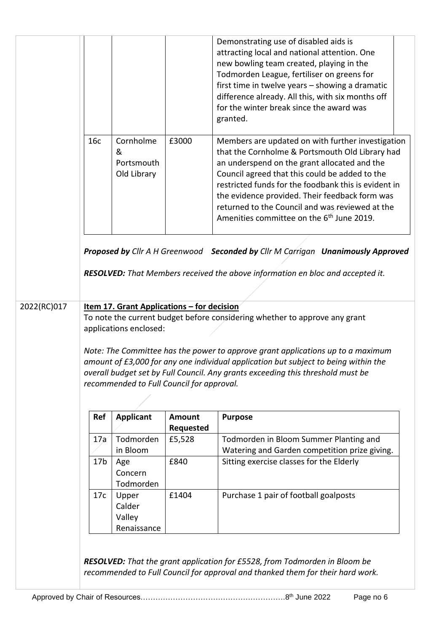|             |                                                                                                                                                                                                                                                                                                                                                                                                                                                                     |                                             |                            | Demonstrating use of disabled aids is<br>attracting local and national attention. One<br>new bowling team created, playing in the<br>Todmorden League, fertiliser on greens for<br>first time in twelve years - showing a dramatic<br>difference already. All this, with six months off<br>for the winter break since the award was<br>granted.                                                                              |  |
|-------------|---------------------------------------------------------------------------------------------------------------------------------------------------------------------------------------------------------------------------------------------------------------------------------------------------------------------------------------------------------------------------------------------------------------------------------------------------------------------|---------------------------------------------|----------------------------|------------------------------------------------------------------------------------------------------------------------------------------------------------------------------------------------------------------------------------------------------------------------------------------------------------------------------------------------------------------------------------------------------------------------------|--|
|             | 16c                                                                                                                                                                                                                                                                                                                                                                                                                                                                 | Cornholme<br>&<br>Portsmouth<br>Old Library | £3000                      | Members are updated on with further investigation<br>that the Cornholme & Portsmouth Old Library had<br>an underspend on the grant allocated and the<br>Council agreed that this could be added to the<br>restricted funds for the foodbank this is evident in<br>the evidence provided. Their feedback form was<br>returned to the Council and was reviewed at the<br>Amenities committee on the 6 <sup>th</sup> June 2019. |  |
|             |                                                                                                                                                                                                                                                                                                                                                                                                                                                                     |                                             |                            | Proposed by Cllr A H Greenwood Seconded by Cllr M Carrigan Unanimously Approved<br>RESOLVED: That Members received the above information en bloc and accepted it.                                                                                                                                                                                                                                                            |  |
| 2022(RC)017 | <u>Item 17. Grant Applications - for decision</u><br>To note the current budget before considering whether to approve any grant<br>applications enclosed:<br>Note: The Committee has the power to approve grant applications up to a maximum<br>amount of £3,000 for any one individual application but subject to being within the<br>overall budget set by Full Council. Any grants exceeding this threshold must be<br>recommended to Full Council for approval. |                                             |                            |                                                                                                                                                                                                                                                                                                                                                                                                                              |  |
|             |                                                                                                                                                                                                                                                                                                                                                                                                                                                                     |                                             |                            |                                                                                                                                                                                                                                                                                                                                                                                                                              |  |
|             | Ref                                                                                                                                                                                                                                                                                                                                                                                                                                                                 | <b>Applicant</b>                            | <b>Amount</b><br>Requested | <b>Purpose</b>                                                                                                                                                                                                                                                                                                                                                                                                               |  |
|             | 17a                                                                                                                                                                                                                                                                                                                                                                                                                                                                 | Todmorden                                   | £5,528                     | Todmorden in Bloom Summer Planting and                                                                                                                                                                                                                                                                                                                                                                                       |  |
|             |                                                                                                                                                                                                                                                                                                                                                                                                                                                                     | in Bloom                                    |                            | Watering and Garden competition prize giving.                                                                                                                                                                                                                                                                                                                                                                                |  |
|             | 17 <sub>b</sub>                                                                                                                                                                                                                                                                                                                                                                                                                                                     | Age                                         | £840                       | Sitting exercise classes for the Elderly                                                                                                                                                                                                                                                                                                                                                                                     |  |
|             |                                                                                                                                                                                                                                                                                                                                                                                                                                                                     | Concern                                     |                            |                                                                                                                                                                                                                                                                                                                                                                                                                              |  |
|             |                                                                                                                                                                                                                                                                                                                                                                                                                                                                     | Todmorden                                   |                            |                                                                                                                                                                                                                                                                                                                                                                                                                              |  |
|             | 17c                                                                                                                                                                                                                                                                                                                                                                                                                                                                 | Upper<br>Calder                             | £1404                      | Purchase 1 pair of football goalposts                                                                                                                                                                                                                                                                                                                                                                                        |  |
|             |                                                                                                                                                                                                                                                                                                                                                                                                                                                                     | Valley                                      |                            |                                                                                                                                                                                                                                                                                                                                                                                                                              |  |
|             |                                                                                                                                                                                                                                                                                                                                                                                                                                                                     | Renaissance                                 |                            |                                                                                                                                                                                                                                                                                                                                                                                                                              |  |
|             |                                                                                                                                                                                                                                                                                                                                                                                                                                                                     |                                             |                            | <b>RESOLVED:</b> That the grant application for £5528, from Todmorden in Bloom be<br>recommended to Full Council for approval and thanked them for their hard work.                                                                                                                                                                                                                                                          |  |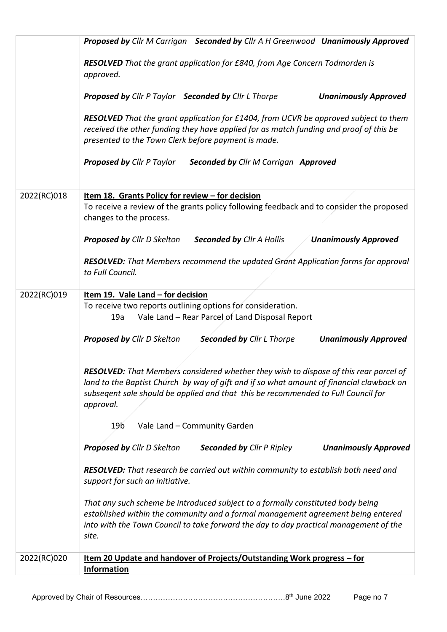|             | Proposed by Cllr M Carrigan Seconded by Cllr A H Greenwood Unanimously Approved                                                                                                                                                                                                     |
|-------------|-------------------------------------------------------------------------------------------------------------------------------------------------------------------------------------------------------------------------------------------------------------------------------------|
|             | RESOLVED That the grant application for £840, from Age Concern Todmorden is<br>approved.                                                                                                                                                                                            |
|             | <b>Proposed by Cllr P Taylor Seconded by Cllr L Thorpe</b><br><b>Unanimously Approved</b>                                                                                                                                                                                           |
|             | RESOLVED That the grant application for £1404, from UCVR be approved subject to them<br>received the other funding they have applied for as match funding and proof of this be<br>presented to the Town Clerk before payment is made.                                               |
|             | <b>Proposed by Cllr P Taylor</b><br><b>Seconded by Cllr M Carrigan Approved</b>                                                                                                                                                                                                     |
| 2022(RC)018 | Item 18. Grants Policy for review - for decision<br>To receive a review of the grants policy following feedback and to consider the proposed<br>changes to the process.                                                                                                             |
|             | <b>Proposed by Cllr D Skelton</b><br><b>Seconded by Cllr A Hollis</b><br><b>Unanimously Approved</b>                                                                                                                                                                                |
|             | RESOLVED: That Members recommend the updated Grant Application forms for approval<br>to Full Council.                                                                                                                                                                               |
| 2022(RC)019 | Item 19. Vale Land - for decision                                                                                                                                                                                                                                                   |
|             | To receive two reports outlining options for consideration.<br>Vale Land - Rear Parcel of Land Disposal Report<br>19a                                                                                                                                                               |
|             | <b>Proposed by Cllr D Skelton</b><br><b>Seconded by Cllr L Thorpe</b><br><b>Unanimously Approved</b>                                                                                                                                                                                |
|             | RESOLVED: That Members considered whether they wish to dispose of this rear parcel of<br>land to the Baptist Church by way of gift and if so what amount of financial clawback on<br>subsegent sale should be applied and that this be recommended to Full Council for<br>approval. |
|             | Vale Land - Community Garden<br>19 <sub>b</sub>                                                                                                                                                                                                                                     |
|             | <b>Proposed by Cllr D Skelton</b><br><b>Seconded by Cllr P Ripley</b><br><b>Unanimously Approved</b>                                                                                                                                                                                |
|             | <b>RESOLVED:</b> That research be carried out within community to establish both need and<br>support for such an initiative.                                                                                                                                                        |
|             | That any such scheme be introduced subject to a formally constituted body being<br>established within the community and a formal management agreement being entered<br>into with the Town Council to take forward the day to day practical management of the<br>site.               |
| 2022(RC)020 | Item 20 Update and handover of Projects/Outstanding Work progress - for<br>Information                                                                                                                                                                                              |